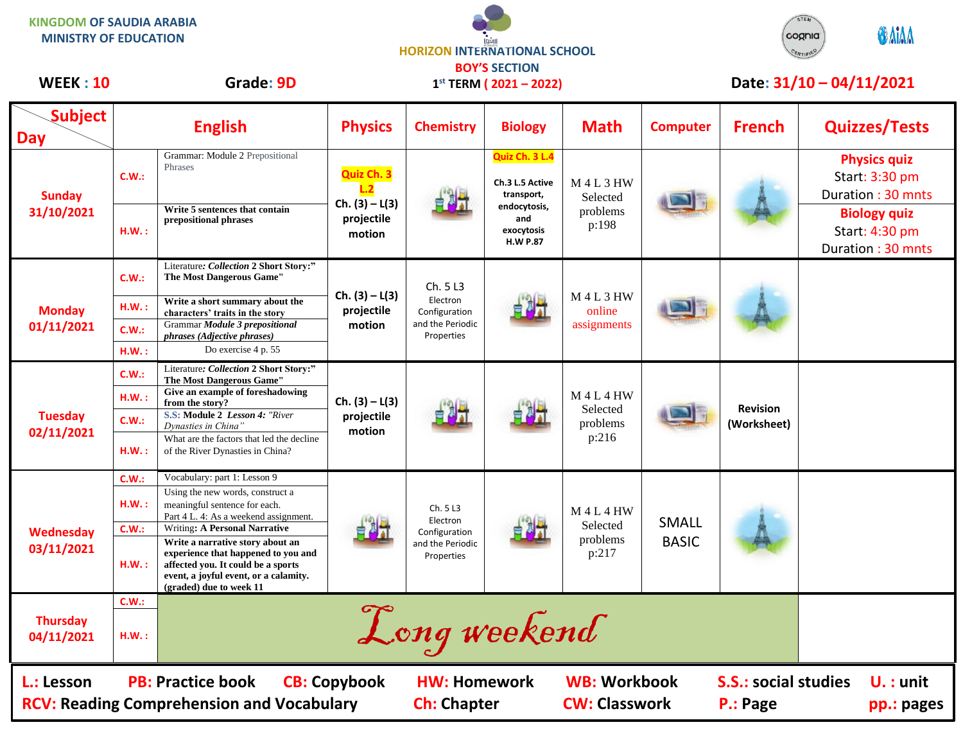**HORIZON INTERNATIONAL SCHOOL KINGDOM OF SAUDIA ARABIA MINISTRY OF EDUCATION**



## WEEK : 10 Grade: 9D 1<sup>st</sup> TERM (2021 – 2022) Date: 31/10 – 04/11/2021

| <b>Subject</b><br><b>Day</b>                                                                                      |                                 | <b>English</b>                                                                                                                                                                                                                                                                                                                                                          | <b>Physics</b>                                         | <b>Chemistry</b>                                                        | <b>Biology</b>                                                                                          | <b>Math</b>                                    | <b>Computer</b>                         | <b>French</b>                  | <b>Quizzes/Tests</b>                                                                                                     |
|-------------------------------------------------------------------------------------------------------------------|---------------------------------|-------------------------------------------------------------------------------------------------------------------------------------------------------------------------------------------------------------------------------------------------------------------------------------------------------------------------------------------------------------------------|--------------------------------------------------------|-------------------------------------------------------------------------|---------------------------------------------------------------------------------------------------------|------------------------------------------------|-----------------------------------------|--------------------------------|--------------------------------------------------------------------------------------------------------------------------|
| <b>Sunday</b><br>31/10/2021                                                                                       | C.W.:<br>HM.:                   | Grammar: Module 2 Prepositional<br>Phrases<br>Write 5 sentences that contain<br>prepositional phrases                                                                                                                                                                                                                                                                   | Quiz Ch. 3<br>$Ch. (3) - L(3)$<br>projectile<br>motion |                                                                         | Quiz Ch. 3 L.4<br>Ch.3 L.5 Active<br>transport,<br>endocytosis,<br>and<br>exocytosis<br><b>H.W P.87</b> | <b>M4L3HW</b><br>Selected<br>problems<br>p:198 |                                         |                                | <b>Physics quiz</b><br>Start: 3:30 pm<br>Duration: 30 mnts<br><b>Biology quiz</b><br>Start: 4:30 pm<br>Duration: 30 mnts |
| <b>Monday</b><br>01/11/2021                                                                                       | C.W.:<br>HM.:<br>C.W.:<br>H.W.: | Literature: Collection 2 Short Story:"<br>The Most Dangerous Game"<br>Write a short summary about the<br>characters' traits in the story<br>Grammar Module 3 prepositional<br>phrases (Adjective phrases)<br>Do exercise 4 p. 55                                                                                                                                        | $Ch. (3) - L(3)$<br>projectile<br>motion               | Ch. 5L3<br>Electron<br>Configuration<br>and the Periodic<br>Properties  |                                                                                                         | <b>M4L3HW</b><br>online<br>assignments         |                                         |                                |                                                                                                                          |
| <b>Tuesday</b><br>02/11/2021                                                                                      | C.W.:<br>H.W.:<br>C.W.:<br>HM.: | Literature: Collection 2 Short Story:"<br>The Most Dangerous Game"<br>Give an example of foreshadowing<br>from the story?<br>S.S: Module 2 Lesson 4: "River<br>Dynasties in China"<br>What are the factors that led the decline<br>of the River Dynasties in China?                                                                                                     | $Ch. (3) - L(3)$<br>projectile<br>motion               |                                                                         |                                                                                                         | <b>M4L4HW</b><br>Selected<br>problems<br>p:216 |                                         | <b>Revision</b><br>(Worksheet) |                                                                                                                          |
| <b>Wednesday</b><br>03/11/2021                                                                                    | C.W.:<br>H.W.:<br>C.W.:<br>HM.: | Vocabulary: part 1: Lesson 9<br>Using the new words, construct a<br>meaningful sentence for each.<br>Part 4 L. 4: As a weekend assignment.<br><b>Writing: A Personal Narrative</b><br>Write a narrative story about an<br>experience that happened to you and<br>affected you. It could be a sports<br>event, a joyful event, or a calamity.<br>(graded) due to week 11 |                                                        | Ch. 5 L3<br>Electron<br>Configuration<br>and the Periodic<br>Properties |                                                                                                         | $M$ 4 L 4 HW<br>Selected<br>problems<br>p:217  | <b>SMALL</b><br><b>BASIC</b>            |                                |                                                                                                                          |
| <b>Thursday</b><br>04/11/2021                                                                                     | C.W.:<br>H.W.:                  |                                                                                                                                                                                                                                                                                                                                                                         |                                                        | Long weekend                                                            |                                                                                                         |                                                |                                         |                                |                                                                                                                          |
| L.: Lesson<br><b>PB: Practice book</b><br><b>CB: Copybook</b><br><b>RCV: Reading Comprehension and Vocabulary</b> |                                 |                                                                                                                                                                                                                                                                                                                                                                         | <b>HW: Homework</b><br><b>Ch: Chapter</b>              |                                                                         | <b>WB: Workbook</b><br><b>CW: Classwork</b>                                                             |                                                | <b>S.S.: social studies</b><br>P.: Page | $U. :$ unit<br>pp.: pages      |                                                                                                                          |

**BOY'S SECTION 1 st TERM ( 2021 – 2022)**